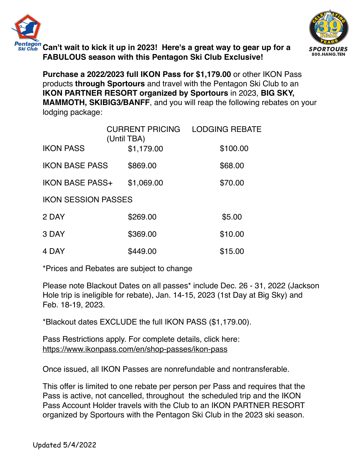



**Can't wait to kick it up in 2023! Here's a great way to gear up for a FABULOUS season with this Pentagon Ski Club Exclusive!**

**Purchase a 2022/2023 full IKON Pass for \$1,179.00** or other IKON Pass products **through Sportours** and travel with the Pentagon Ski Club to an **IKON PARTNER RESORT organized by Sportours** in 2023, **BIG SKY, MAMMOTH, SKIBIG3/BANFF**, and you will reap the following rebates on your lodging package:

|                            | <b>CURRENT PRICING</b><br>(Until TBA) | <b>LODGING REBATE</b> |
|----------------------------|---------------------------------------|-----------------------|
| <b>IKON PASS</b>           | \$1,179.00                            | \$100.00              |
| <b>IKON BASE PASS</b>      | \$869.00                              | \$68.00               |
| <b>IKON BASE PASS+</b>     | \$1,069.00                            | \$70.00               |
| <b>IKON SESSION PASSES</b> |                                       |                       |
| 2 DAY                      | \$269.00                              | \$5.00                |
| 3 DAY                      | \$369.00                              | \$10.00               |
| 4 DAY                      | \$449.00                              | \$15.00               |

\*Prices and Rebates are subject to change

Please note Blackout Dates on all passes\* include Dec. 26 - 31, 2022 (Jackson Hole trip is ineligible for rebate), Jan. 14-15, 2023 (1st Day at Big Sky) and Feb. 18-19, 2023.

\*Blackout dates EXCLUDE the full IKON PASS (\$1,179.00).

Pass Restrictions apply. For complete details, click here: <https://www.ikonpass.com/en/shop-passes/ikon-pass>

Once issued, all IKON Passes are nonrefundable and nontransferable.

This offer is limited to one rebate per person per Pass and requires that the Pass is active, not cancelled, throughout the scheduled trip and the IKON Pass Account Holder travels with the Club to an IKON PARTNER RESORT organized by Sportours with the Pentagon Ski Club in the 2023 ski season.